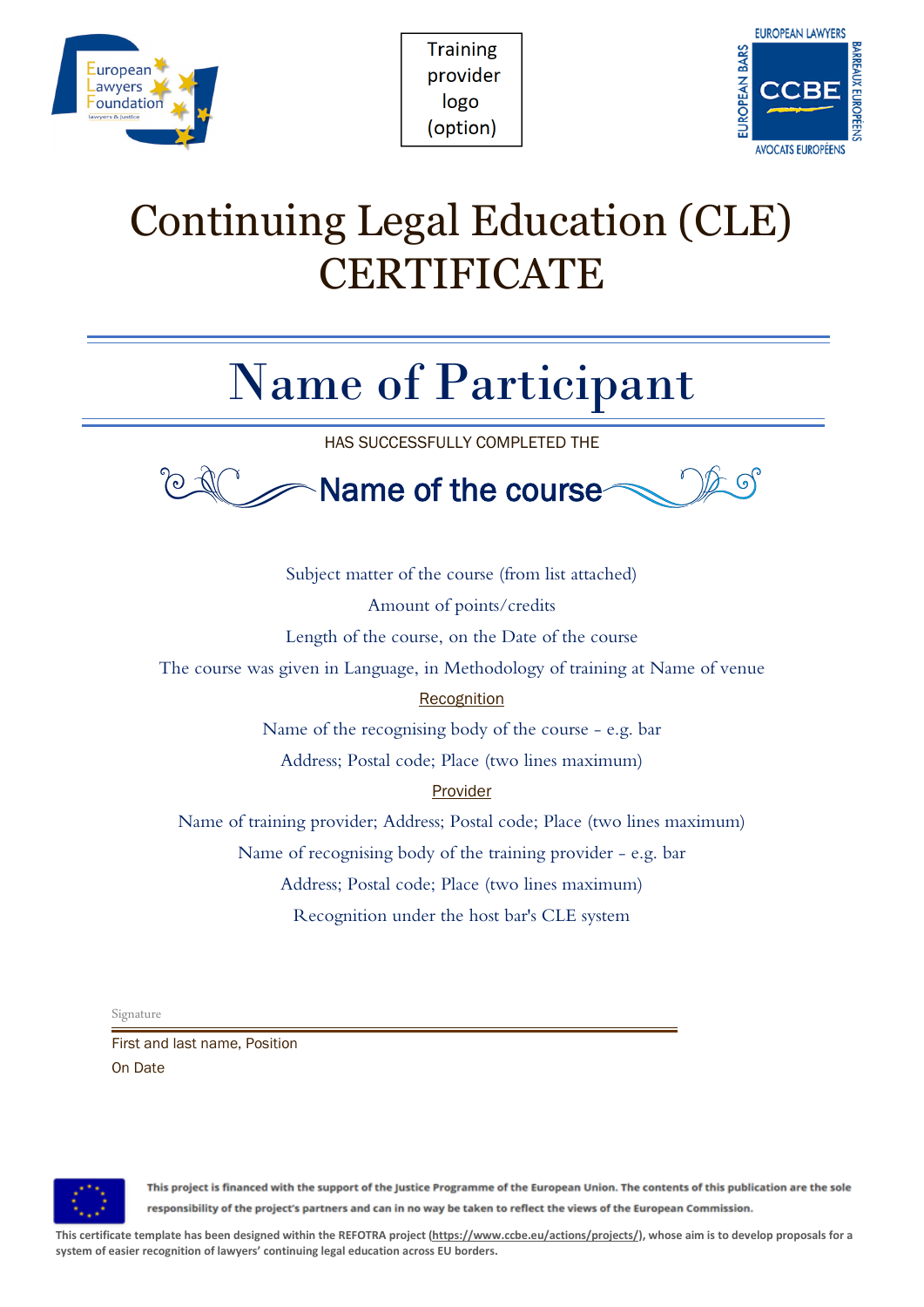

| <b>Training</b> |
|-----------------|
| provider        |
| logo            |
| (option)        |



## Continuing Legal Education (CLE) **CERTIFICATE**

## Name of Participant

HAS SUCCESSFULLY COMPLETED THE



Subject matter of the course (from list attached) Amount of points/credits Length of the course, on the Date of the course The course was given in Language, in Methodology of training at Name of venue Recognition Name of the recognising body of the course - e.g. bar Address; Postal code; Place (two lines maximum) Provider

Name of training provider; Address; Postal code; Place (two lines maximum) Name of recognising body of the training provider - e.g. bar

Address; Postal code; Place (two lines maximum)

Recognition under the host bar's CLE system

Signature

First and last name, Position On Date



This project is financed with the support of the Justice Programme of the European Union. The contents of this publication are the sole responsibility of the project's partners and can in no way be taken to reflect the views of the European Commission.

**This certificate template has been designed within the REFOTRA project [\(https://www.ccbe.eu/actions/projects/\)](https://www.ccbe.eu/actions/projects/), whose aim is to develop proposals for a system of easier recognition of lawyers' continuing legal education across EU borders.**